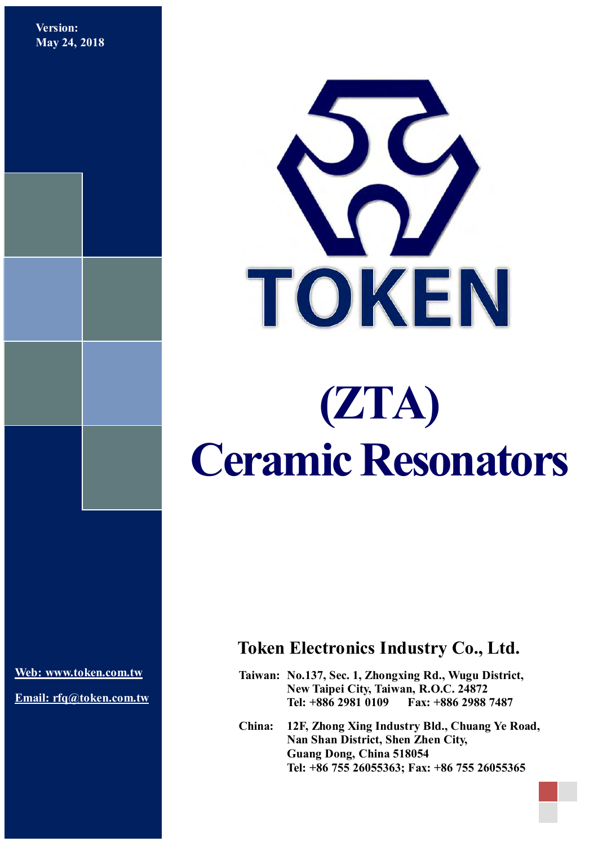**Version: May 24, 2018**



# **(ZTA) Ceramic Resonators**

**[Web: www.token.com.tw](http://www.token.com.tw/)**

**Email: rfq@token.com.tw**

## **Token Electronics Industry Co., Ltd.**

**Taiwan: No.137, Sec. 1, Zhongxing Rd., Wugu District, New Taipei City, Taiwan, R.O.C. 24872 Tel: +886 2981 0109 Fax: +886 2988 7487**

**China: 12F, Zhong Xing Industry Bld., Chuang Ye Road, Nan Shan District, Shen Zhen City, Guang Dong, China 518054 Tel: +86 755 26055363; Fax: +86 755 26055365**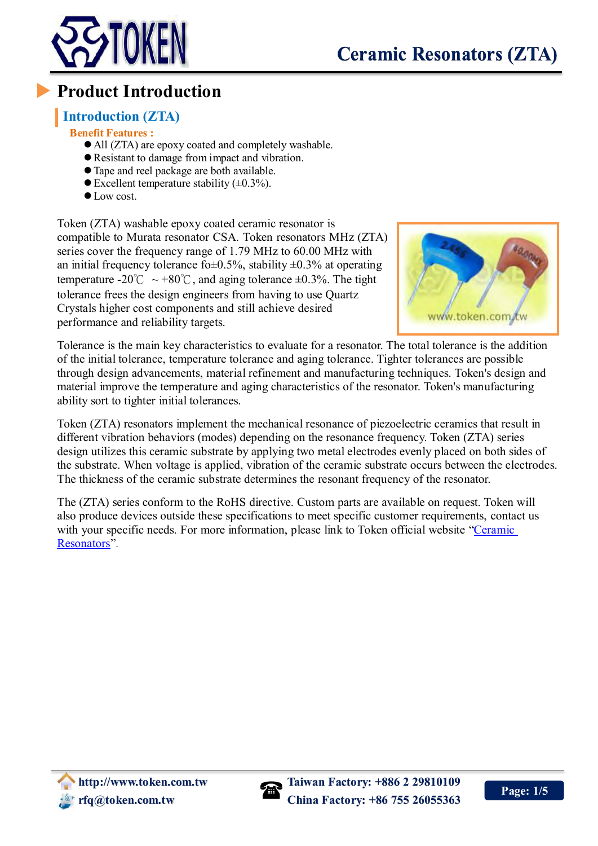

# **Product Introduction**

## **Introduction (ZTA)**

#### **Benefit Features :**

- All (ZTA) are epoxy coated and completely washable.
- Resistant to damage from impact and vibration.
- Tape and reel package are both available.
- $\bullet$  Excellent temperature stability ( $\pm 0.3\%$ ).
- $\bullet$  Low cost.

Token (ZTA) washable epoxy coated ceramic resonator is compatible to Murata resonator CSA. Token resonators MHz (ZTA) series cover the frequency range of 1.79 MHz to 60.00 MHz with an initial frequency tolerance fo $\pm$ 0.5%, stability  $\pm$ 0.3% at operating temperature -20°C ~ +80°C, and aging tolerance  $\pm 0.3$ %. The tight tolerance frees the design engineers from having to use Quartz Crystals higher cost components and still achieve desired performance and reliability targets.



Tolerance is the main key characteristics to evaluate for a resonator. The total tolerance is the addition of the initial tolerance, temperature tolerance and aging tolerance. Tighter tolerances are possible through design advancements, material refinement and manufacturing techniques. Token's design and material improve the temperature and aging characteristics of the resonator. Token's manufacturing ability sort to tighter initial tolerances.

Token (ZTA) resonators implement the mechanical resonance of piezoelectric ceramics that result in different vibration behaviors (modes) depending on the resonance frequency. Token (ZTA) series design utilizes this ceramic substrate by applying two metal electrodes evenly placed on both sides of the substrate. When voltage is applied, vibration of the ceramic substrate occurs between the electrodes. The thickness of the ceramic substrate determines the resonant frequency of the resonator.

The (ZTA) series conform to the RoHS directive. Custom parts are available on request. Token will also produce devices outside these specifications to meet specific customer requirements, contact us with your specific needs. For more information, please link to Token official website "Ceramic [Resonators"](http://www.token.com.tw/resonator/index.html).

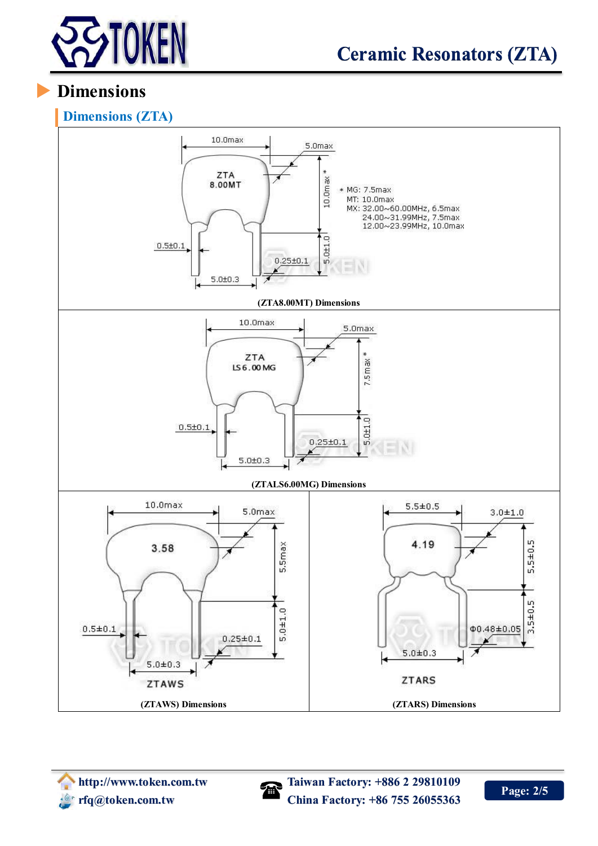

# **Dimensions**



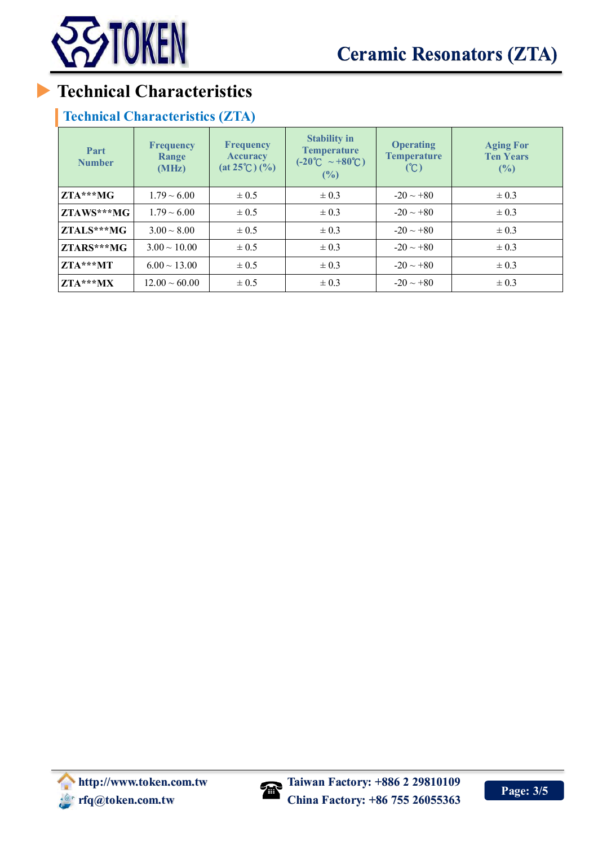

# **Technical Characteristics**

## **Technical Characteristics (ZTA)**

| Part<br><b>Number</b> | <b>Frequency</b><br>Range<br>(MHz) | <b>Frequency</b><br><b>Accuracy</b><br>$(at 25^{\circ}C)(\%)$ | <b>Stability in</b><br><b>Temperature</b><br>$(-20^{\circ}\text{C} \sim +80^{\circ}\text{C})$<br>(%) | <b>Operating</b><br><b>Temperature</b><br>(C) | <b>Aging For</b><br><b>Ten Years</b><br>(%) |
|-----------------------|------------------------------------|---------------------------------------------------------------|------------------------------------------------------------------------------------------------------|-----------------------------------------------|---------------------------------------------|
| $ZTA***MG$            | $1.79 \sim 6.00$                   | $\pm 0.5$                                                     | $\pm 0.3$                                                                                            | $-20 \sim +80$                                | $\pm 0.3$                                   |
| ZTAWS***MG            | $1.79 \sim 6.00$                   | $\pm 0.5$                                                     | $\pm 0.3$                                                                                            | $-20 \sim +80$                                | $\pm 0.3$                                   |
| ZTALS***MG            | $3.00 \sim 8.00$                   | $\pm 0.5$                                                     | $\pm 0.3$                                                                                            | $-20 \sim +80$                                | $\pm 0.3$                                   |
| ZTARS***MG            | $3.00 \sim 10.00$                  | $\pm 0.5$                                                     | $\pm 0.3$                                                                                            | $-20 \sim +80$                                | $\pm 0.3$                                   |
| ZTA***MT              | $6.00 \sim 13.00$                  | $\pm 0.5$                                                     | $\pm 0.3$                                                                                            | $-20 \sim +80$                                | $\pm 0.3$                                   |
| ZTA***MX              | $12.00 \sim 60.00$                 | $\pm 0.5$                                                     | $\pm 0.3$                                                                                            | $-20 \sim +80$                                | $\pm 0.3$                                   |

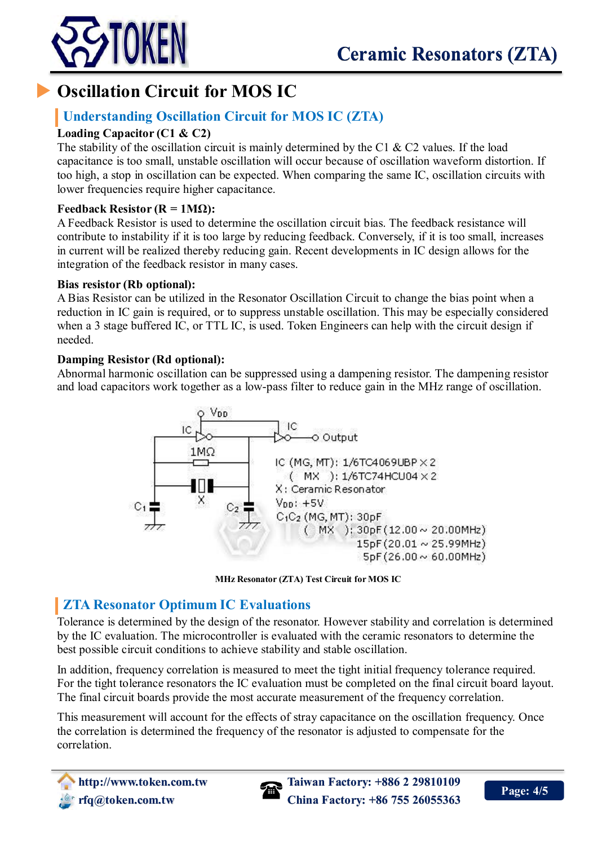

# **Oscillation Circuit for MOS IC**

## **Understanding Oscillation Circuit for MOS IC (ZTA)**

#### **Loading Capacitor (C1 & C2)**

The stability of the oscillation circuit is mainly determined by the C1  $\&$  C2 values. If the load capacitance is too small, unstable oscillation will occur because of oscillation waveform distortion. If too high, a stop in oscillation can be expected. When comparing the same IC, oscillation circuits with lower frequencies require higher capacitance.

#### **Feedback Resistor (R = 1MΩ):**

A Feedback Resistor is used to determine the oscillation circuit bias. The feedback resistance will contribute to instability if it is too large by reducing feedback. Conversely, if it is too small, increases in current will be realized thereby reducing gain. Recent developments in IC design allows for the integration of the feedback resistor in many cases.

#### **Bias resistor (Rb optional):**

A Bias Resistor can be utilized in the Resonator Oscillation Circuit to change the bias point when a reduction in IC gain is required, or to suppress unstable oscillation. This may be especially considered when a 3 stage buffered IC, or TTL IC, is used. Token Engineers can help with the circuit design if needed.

#### **Damping Resistor (Rd optional):**

Abnormal harmonic oscillation can be suppressed using a dampening resistor. The dampening resistor and load capacitors work together as a low-pass filter to reduce gain in the MHz range of oscillation.



**MHz Resonator (ZTA) Test Circuit for MOS IC**

## **ZTA Resonator Optimum IC Evaluations**

Tolerance is determined by the design of the resonator. However stability and correlation is determined by the IC evaluation. The microcontroller is evaluated with the ceramic resonators to determine the best possible circuit conditions to achieve stability and stable oscillation.

In addition, frequency correlation is measured to meet the tight initial frequency tolerance required. For the tight tolerance resonators the IC evaluation must be completed on the final circuit board layout. The final circuit boards provide the most accurate measurement of the frequency correlation.

This measurement will account for the effects of stray capacitance on the oscillation frequency. Once the correlation is determined the frequency of the resonator is adjusted to compensate for the correlation.